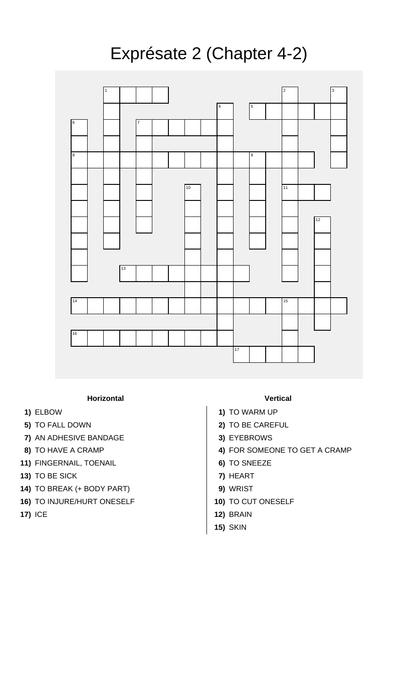## Exprésate 2 (Chapter 4-2)



## **Horizontal Vertical**

- 
- 
- **7)** AN ADHESIVE BANDAGE **3)** EYEBROWS
- 
- **11)** FINGERNAIL, TOENAIL **6)** TO SNEEZE
- **13)** TO BE SICK **7)** HEART
- **14)** TO BREAK (+ BODY PART) **9)** WRIST
- **16)** TO INJURE/HURT ONESELF **10)** TO CUT ONESELF
- 

- **1)** ELBOW **1)** TO WARM UP
- **5)** TO FALL DOWN **2)** TO BE CAREFUL
	-
- **8)** TO HAVE A CRAMP **4)** FOR SOMEONE TO GET A CRAMP
	-
	-
	-
	-
- **17)** ICE **12)** BRAIN
	- **15)** SKIN